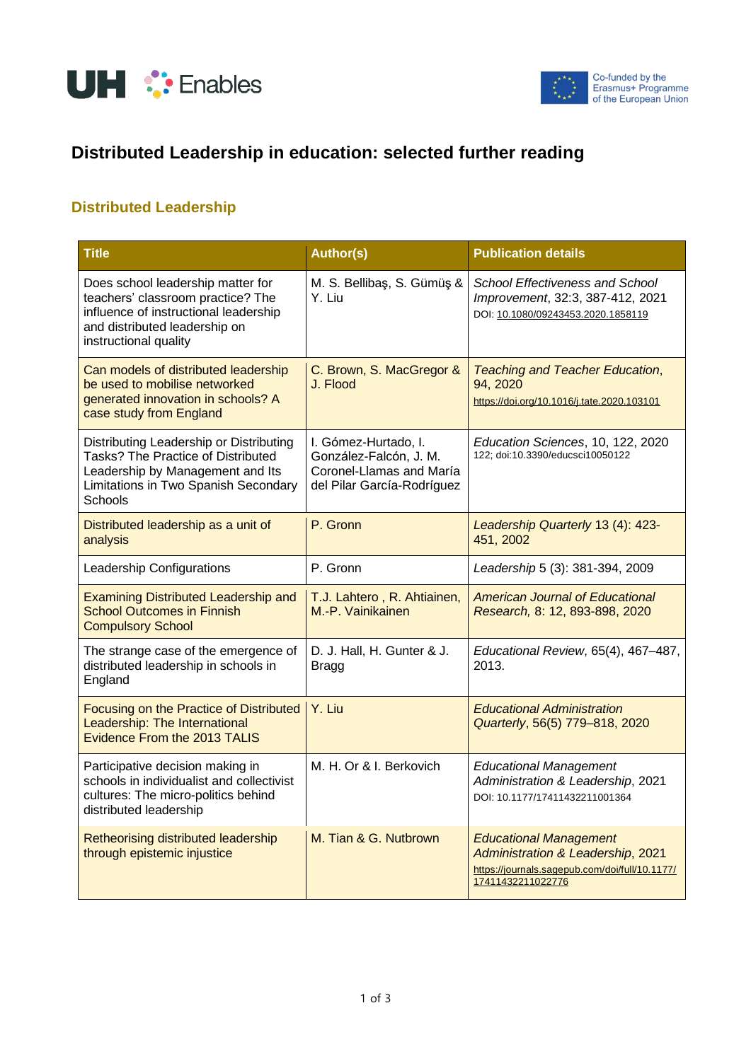



## **Distributed Leadership in education: selected further reading**

## **Distributed Leadership**

| <b>Title</b>                                                                                                                                                              | <b>Author(s)</b>                                                                                         | <b>Publication details</b>                                                                                                                |
|---------------------------------------------------------------------------------------------------------------------------------------------------------------------------|----------------------------------------------------------------------------------------------------------|-------------------------------------------------------------------------------------------------------------------------------------------|
| Does school leadership matter for<br>teachers' classroom practice? The<br>influence of instructional leadership<br>and distributed leadership on<br>instructional quality | M. S. Bellibaş, S. Gümüş &<br>Y. Liu                                                                     | School Effectiveness and School<br>Improvement, 32:3, 387-412, 2021<br>DOI: 10.1080/09243453.2020.1858119                                 |
| Can models of distributed leadership<br>be used to mobilise networked<br>generated innovation in schools? A<br>case study from England                                    | C. Brown, S. MacGregor &<br>J. Flood                                                                     | <b>Teaching and Teacher Education,</b><br>94, 2020<br>https://doi.org/10.1016/j.tate.2020.103101                                          |
| Distributing Leadership or Distributing<br>Tasks? The Practice of Distributed<br>Leadership by Management and Its<br>Limitations in Two Spanish Secondary<br>Schools      | I. Gómez-Hurtado, I.<br>González-Falcón, J. M.<br>Coronel-Llamas and María<br>del Pilar García-Rodríguez | Education Sciences, 10, 122, 2020<br>122; doi:10.3390/educsci10050122                                                                     |
| Distributed leadership as a unit of<br>analysis                                                                                                                           | P. Gronn                                                                                                 | Leadership Quarterly 13 (4): 423-<br>451, 2002                                                                                            |
| Leadership Configurations                                                                                                                                                 | P. Gronn                                                                                                 | Leadership 5 (3): 381-394, 2009                                                                                                           |
| <b>Examining Distributed Leadership and</b><br><b>School Outcomes in Finnish</b><br><b>Compulsory School</b>                                                              | T.J. Lahtero, R. Ahtiainen,<br>M.-P. Vainikainen                                                         | <b>American Journal of Educational</b><br>Research, 8: 12, 893-898, 2020                                                                  |
| The strange case of the emergence of<br>distributed leadership in schools in<br>England                                                                                   | D. J. Hall, H. Gunter & J.<br><b>Bragg</b>                                                               | Educational Review, 65(4), 467-487,<br>2013.                                                                                              |
| Focusing on the Practice of Distributed<br>Leadership: The International<br>Evidence From the 2013 TALIS                                                                  | Y. Liu                                                                                                   | <b>Educational Administration</b><br>Quarterly, 56(5) 779-818, 2020                                                                       |
| Participative decision making in<br>schools in individualist and collectivist<br>cultures: The micro-politics behind<br>distributed leadership                            | M. H. Or & I. Berkovich                                                                                  | <b>Educational Management</b><br>Administration & Leadership, 2021<br>DOI: 10.1177/17411432211001364                                      |
| Retheorising distributed leadership<br>through epistemic injustice                                                                                                        | M. Tian & G. Nutbrown                                                                                    | <b>Educational Management</b><br>Administration & Leadership, 2021<br>https://journals.sagepub.com/doi/full/10.1177/<br>17411432211022776 |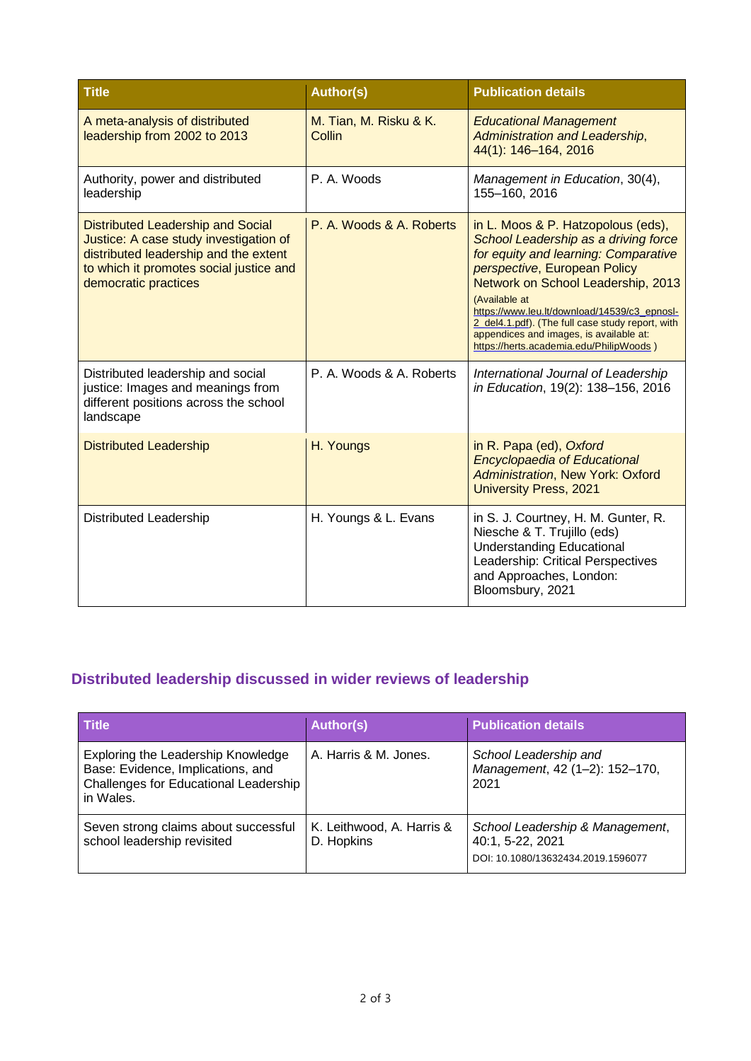| <b>Title</b>                                                                                                                                                                            | <b>Author(s)</b>                 | <b>Publication details</b>                                                                                                                                                                                                                                                                                                                                                                          |
|-----------------------------------------------------------------------------------------------------------------------------------------------------------------------------------------|----------------------------------|-----------------------------------------------------------------------------------------------------------------------------------------------------------------------------------------------------------------------------------------------------------------------------------------------------------------------------------------------------------------------------------------------------|
| A meta-analysis of distributed<br>leadership from 2002 to 2013                                                                                                                          | M. Tian, M. Risku & K.<br>Collin | <b>Educational Management</b><br>Administration and Leadership,<br>44(1): 146-164, 2016                                                                                                                                                                                                                                                                                                             |
| Authority, power and distributed<br>leadership                                                                                                                                          | P. A. Woods                      | Management in Education, 30(4),<br>155-160, 2016                                                                                                                                                                                                                                                                                                                                                    |
| Distributed Leadership and Social<br>Justice: A case study investigation of<br>distributed leadership and the extent<br>to which it promotes social justice and<br>democratic practices | P. A. Woods & A. Roberts         | in L. Moos & P. Hatzopolous (eds),<br>School Leadership as a driving force<br>for equity and learning: Comparative<br>perspective, European Policy<br>Network on School Leadership, 2013<br>(Available at<br>https://www.leu.lt/download/14539/c3 epnosl-<br>2 del4.1.pdf). (The full case study report, with<br>appendices and images, is available at:<br>https://herts.academia.edu/PhilipWoods) |
| Distributed leadership and social<br>justice: Images and meanings from<br>different positions across the school<br>landscape                                                            | P. A. Woods & A. Roberts         | International Journal of Leadership<br>in Education, 19(2): 138-156, 2016                                                                                                                                                                                                                                                                                                                           |
| <b>Distributed Leadership</b>                                                                                                                                                           | H. Youngs                        | in R. Papa (ed), Oxford<br><b>Encyclopaedia of Educational</b><br><b>Administration, New York: Oxford</b><br><b>University Press, 2021</b>                                                                                                                                                                                                                                                          |
| Distributed Leadership                                                                                                                                                                  | H. Youngs & L. Evans             | in S. J. Courtney, H. M. Gunter, R.<br>Niesche & T. Trujillo (eds)<br><b>Understanding Educational</b><br>Leadership: Critical Perspectives<br>and Approaches, London:<br>Bloomsbury, 2021                                                                                                                                                                                                          |

## **Distributed leadership discussed in wider reviews of leadership**

| <b>Title</b>                                                                                                                  | <b>Author(s)</b>                        | <b>Publication details</b>                                                                |
|-------------------------------------------------------------------------------------------------------------------------------|-----------------------------------------|-------------------------------------------------------------------------------------------|
| Exploring the Leadership Knowledge<br>Base: Evidence, Implications, and<br>Challenges for Educational Leadership<br>in Wales. | A. Harris & M. Jones.                   | School Leadership and<br>Management, 42 (1-2): 152-170,<br>2021                           |
| Seven strong claims about successful<br>school leadership revisited                                                           | K. Leithwood, A. Harris &<br>D. Hopkins | School Leadership & Management,<br>40:1, 5-22, 2021<br>DOI: 10.1080/13632434.2019.1596077 |